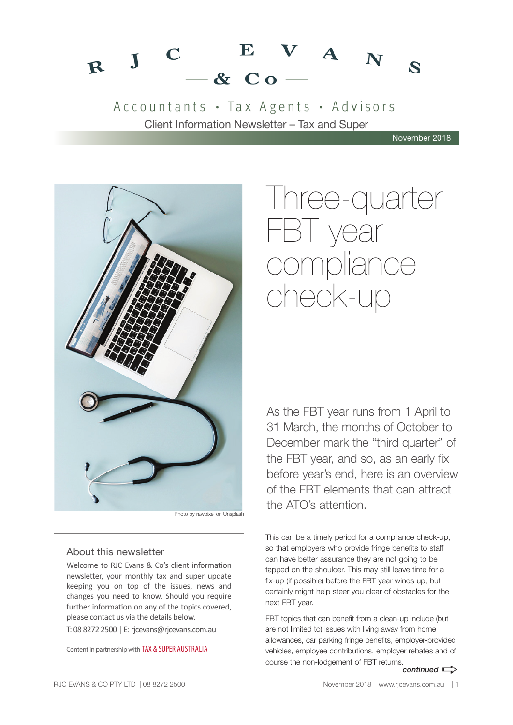#### $V A_N$  $\bf E$  $\mathbf C$  $R$  J  $\mathbf{z}$  $-$  & Co.

Accountants · Tax Agents · Advisors Client Information Newsletter – Tax and Super

November 2018



Photo by rawpixel on Unsplash

### About this newsletter

Welcome to RJC Evans & Co's client information newsletter, your monthly tax and super update keeping you on top of the issues, news and changes you need to know. Should you require further information on any of the topics covered, please contact us via the details below.

T: 08 8272 2500 | E: rjcevans@rjcevans.com.au

Content in partnership with TAX & SUPER AUSTRALIA

# Three-quarter FBT year compliance check-up

As the FBT year runs from 1 April to 31 March, the months of October to December mark the "third quarter" of the FBT year, and so, as an early fix before year's end, here is an overview of the FBT elements that can attract the ATO's attention.

This can be a timely period for a compliance check-up, so that employers who provide fringe benefits to staff can have better assurance they are not going to be tapped on the shoulder. This may still leave time for a fix-up (if possible) before the FBT year winds up, but certainly might help steer you clear of obstacles for the next FBT year.

FBT topics that can benefit from a clean-up include (but are not limited to) issues with living away from home allowances, car parking fringe benefits, employer-provided vehicles, employee contributions, employer rebates and of course the non-lodgement of FBT returns.

*continued*  $\Rightarrow$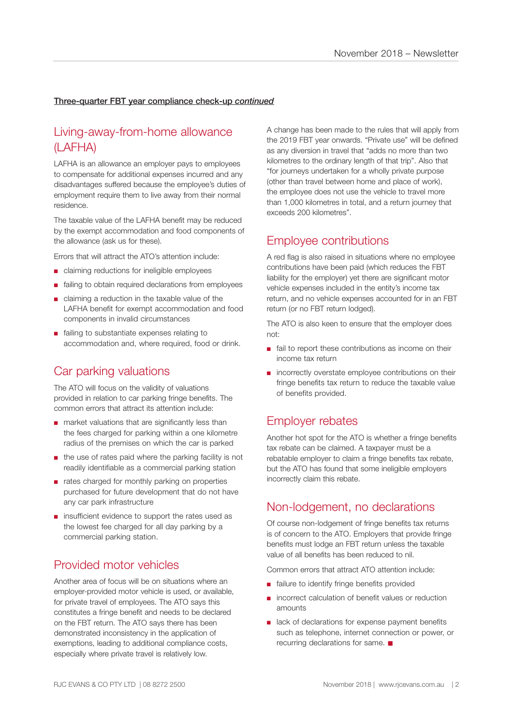### Three-quarter FBT year compliance check-up *continued*

## Living-away-from-home allowance (LAFHA)

LAFHA is an allowance an employer pays to employees to compensate for additional expenses incurred and any disadvantages suffered because the employee's duties of employment require them to live away from their normal residence.

The taxable value of the LAFHA benefit may be reduced by the exempt accommodation and food components of the allowance (ask us for these).

Errors that will attract the ATO's attention include:

- claiming reductions for ineligible employees
- failing to obtain required declarations from employees
- claiming a reduction in the taxable value of the LAFHA benefit for exempt accommodation and food components in invalid circumstances
- failing to substantiate expenses relating to accommodation and, where required, food or drink.

### Car parking valuations

The ATO will focus on the validity of valuations provided in relation to car parking fringe benefits. The common errors that attract its attention include:

- market valuations that are significantly less than the fees charged for parking within a one kilometre radius of the premises on which the car is parked
- the use of rates paid where the parking facility is not readily identifiable as a commercial parking station
- rates charged for monthly parking on properties purchased for future development that do not have any car park infrastructure
- insufficient evidence to support the rates used as the lowest fee charged for all day parking by a commercial parking station.

### Provided motor vehicles

Another area of focus will be on situations where an employer-provided motor vehicle is used, or available, for private travel of employees. The ATO says this constitutes a fringe benefit and needs to be declared on the FBT return. The ATO says there has been demonstrated inconsistency in the application of exemptions, leading to additional compliance costs, especially where private travel is relatively low.

A change has been made to the rules that will apply from the 2019 FBT year onwards. "Private use" will be defined as any diversion in travel that "adds no more than two kilometres to the ordinary length of that trip". Also that "for journeys undertaken for a wholly private purpose (other than travel between home and place of work), the employee does not use the vehicle to travel more than 1,000 kilometres in total, and a return journey that exceeds 200 kilometres".

### Employee contributions

A red flag is also raised in situations where no employee contributions have been paid (which reduces the FBT liability for the employer) yet there are significant motor vehicle expenses included in the entity's income tax return, and no vehicle expenses accounted for in an FBT return (or no FBT return lodged).

The ATO is also keen to ensure that the employer does not:

- fail to report these contributions as income on their income tax return
- incorrectly overstate employee contributions on their fringe benefits tax return to reduce the taxable value of benefits provided.

### Employer rebates

Another hot spot for the ATO is whether a fringe benefits tax rebate can be claimed. A taxpayer must be a rebatable employer to claim a fringe benefits tax rebate, but the ATO has found that some ineligible employers incorrectly claim this rebate.

### Non-lodgement, no declarations

Of course non-lodgement of fringe benefits tax returns is of concern to the ATO. Employers that provide fringe benefits must lodge an FBT return unless the taxable value of all benefits has been reduced to nil.

Common errors that attract ATO attention include:

- failure to identify fringe benefits provided
- incorrect calculation of benefit values or reduction amounts
- lack of declarations for expense payment benefits such as telephone, internet connection or power, or recurring declarations for same.  $\blacksquare$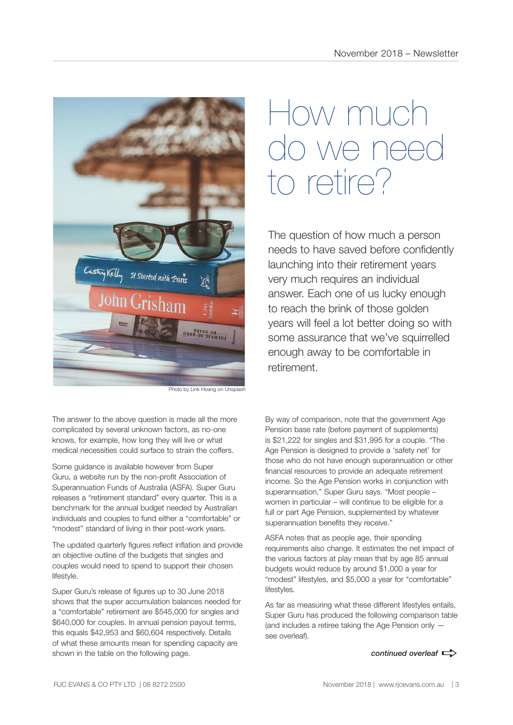

Photo by Link Hoang on Unsplash

The answer to the above question is made all the more complicated by several unknown factors, as no-one knows, for example, how long they will live or what medical necessities could surface to strain the coffers.

Some guidance is available however from Super Guru, a website run by the non-profit Association of Superannuation Funds of Australia (ASFA). Super Guru releases a "retirement standard" every quarter. This is a benchmark for the annual budget needed by Australian individuals and couples to fund either a "comfortable" or "modest" standard of living in their post-work years.

The updated quarterly figures reflect inflation and provide an objective outline of the budgets that singles and couples would need to spend to support their chosen lifestyle.

Super Guru's release of figures up to 30 June 2018 shows that the super accumulation balances needed for a "comfortable" retirement are \$545,000 for singles and \$640,000 for couples. In annual pension payout terms, this equals \$42,953 and \$60,604 respectively. Details of what these amounts mean for spending capacity are shown in the table on the following page.

# How much we n to retire?

The question of how much a person needs to have saved before confidently launching into their retirement years very much requires an individual answer. Each one of us lucky enough to reach the brink of those golden years will feel a lot better doing so with some assurance that we've squirrelled enough away to be comfortable in retirement.

By way of comparison, note that the government Age Pension base rate (before payment of supplements) is \$21,222 for singles and \$31,995 for a couple. "The Age Pension is designed to provide a 'safety net' for those who do not have enough superannuation or other financial resources to provide an adequate retirement income. So the Age Pension works in conjunction with superannuation," Super Guru says. "Most people – women in particular – will continue to be eligible for a full or part Age Pension, supplemented by whatever superannuation benefits they receive."

ASFA notes that as people age, their spending requirements also change. It estimates the net impact of the various factors at play mean that by age 85 annual budgets would reduce by around \$1,000 a year for "modest" lifestyles, and \$5,000 a year for "comfortable" lifestyles.

As far as measuring what these different lifestyles entails, Super Guru has produced the following comparison table (and includes a retiree taking the Age Pension only see overleaf).

*continued overleaf*  $\Rightarrow$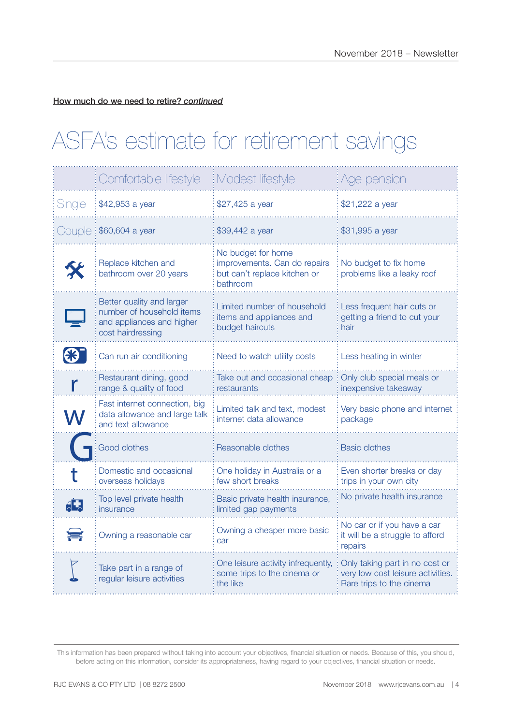How much do we need to retire? *continued*

# ASFA's estimate for retirement savings

|        | Comfortable lifestyle                                                                                    | Modest lifestyle                                                                               | Age pension                                                                                     |
|--------|----------------------------------------------------------------------------------------------------------|------------------------------------------------------------------------------------------------|-------------------------------------------------------------------------------------------------|
| Single | \$42,953 a year                                                                                          | \$27,425 a year                                                                                | \$21,222 a year                                                                                 |
| Couple | \$60,604 a year                                                                                          | \$39,442 a year                                                                                | \$31,995 a year                                                                                 |
|        | Replace kitchen and<br>bathroom over 20 years                                                            | No budget for home<br>improvements. Can do repairs<br>but can't replace kitchen or<br>bathroom | No budget to fix home<br>problems like a leaky roof                                             |
|        | Better quality and larger<br>number of household items<br>and appliances and higher<br>cost hairdressing | Limited number of household<br>items and appliances and<br>budget haircuts                     | Less frequent hair cuts or<br>getting a friend to cut your<br>hair                              |
|        | Can run air conditioning                                                                                 | Need to watch utility costs                                                                    | Less heating in winter                                                                          |
|        | Restaurant dining, good<br>range & quality of food                                                       | Take out and occasional cheap<br>restaurants                                                   | Only club special meals or<br>inexpensive takeaway                                              |
|        | Fast internet connection, big<br>data allowance and large talk<br>and text allowance                     | Limited talk and text, modest<br>internet data allowance                                       | Very basic phone and internet<br>package                                                        |
|        | <b>Good clothes</b>                                                                                      | Reasonable clothes                                                                             | <b>Basic clothes</b>                                                                            |
|        | Domestic and occasional<br>overseas holidays                                                             | One holiday in Australia or a<br>few short breaks                                              | Even shorter breaks or day<br>trips in your own city                                            |
|        | Top level private health<br>insurance                                                                    | Basic private health insurance,<br>limited gap payments                                        | No private health insurance                                                                     |
|        | Owning a reasonable car                                                                                  | Owning a cheaper more basic<br>car                                                             | No car or if you have a car<br>it will be a struggle to afford<br>repairs                       |
|        | Take part in a range of<br>regular leisure activities                                                    | One leisure activity infrequently,<br>some trips to the cinema or<br>the like                  | Only taking part in no cost or<br>very low cost leisure activities.<br>Rare trips to the cinema |

This information has been prepared without taking into account your objectives, financial situation or needs. Because of this, you should, before acting on this information, consider its appropriateness, having regard to your objectives, financial situation or needs.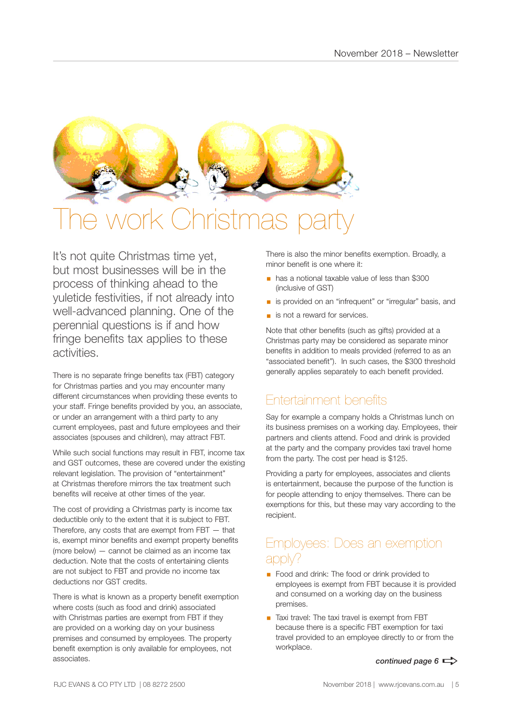

# **Istmas pa**

It's not quite Christmas time yet, but most businesses will be in the process of thinking ahead to the yuletide festivities, if not already into well-advanced planning. One of the perennial questions is if and how fringe benefits tax applies to these activities.

There is no separate fringe benefits tax (FBT) category for Christmas parties and you may encounter many different circumstances when providing these events to your staff. Fringe benefits provided by you, an associate, or under an arrangement with a third party to any current employees, past and future employees and their associates (spouses and children), may attract FBT.

While such social functions may result in FBT, income tax and GST outcomes, these are covered under the existing relevant legislation. The provision of "entertainment" at Christmas therefore mirrors the tax treatment such benefits will receive at other times of the year.

The cost of providing a Christmas party is income tax deductible only to the extent that it is subject to FBT. Therefore, any costs that are exempt from  $FBT - that$ is, exempt minor benefits and exempt property benefits (more below) — cannot be claimed as an income tax deduction. Note that the costs of entertaining clients are not subject to FBT and provide no income tax deductions nor GST credits.

There is what is known as a property benefit exemption where costs (such as food and drink) associated with Christmas parties are exempt from FBT if they are provided on a working day on your business premises and consumed by employees. The property benefit exemption is only available for employees, not associates.

There is also the minor benefits exemption. Broadly, a minor benefit is one where it:

- § has a notional taxable value of less than \$300 (inclusive of GST)
- is provided on an "infrequent" or "irregular" basis, and
- is not a reward for services.

Note that other benefits (such as gifts) provided at a Christmas party may be considered as separate minor benefits in addition to meals provided (referred to as an "associated benefit"). In such cases, the \$300 threshold generally applies separately to each benefit provided.

# Entertainment benefits

Say for example a company holds a Christmas lunch on its business premises on a working day. Employees, their partners and clients attend. Food and drink is provided at the party and the company provides taxi travel home from the party. The cost per head is \$125.

Providing a party for employees, associates and clients is entertainment, because the purpose of the function is for people attending to enjoy themselves. There can be exemptions for this, but these may vary according to the recipient.

# Employees: Does an exemption apply?

- Food and drink: The food or drink provided to employees is exempt from FBT because it is provided and consumed on a working day on the business premises.
- Taxi travel: The taxi travel is exempt from FBT because there is a specific FBT exemption for taxi travel provided to an employee directly to or from the workplace.

*continued page 6*  $\Rightarrow$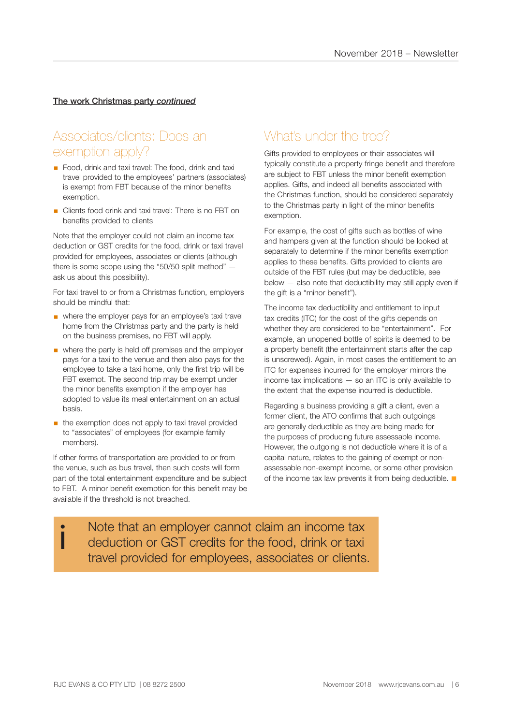### The work Christmas party *continued*

## Associates/clients: Does an exemption apply?

- Food, drink and taxi travel: The food, drink and taxi travel provided to the employees' partners (associates) is exempt from FBT because of the minor benefits exemption.
- Clients food drink and taxi travel: There is no FBT on benefits provided to clients

Note that the employer could not claim an income tax deduction or GST credits for the food, drink or taxi travel provided for employees, associates or clients (although there is some scope using the "50/50 split method" ask us about this possibility).

For taxi travel to or from a Christmas function, employers should be mindful that:

- where the employer pays for an employee's taxi travel home from the Christmas party and the party is held on the business premises, no FBT will apply.
- where the party is held off premises and the employer pays for a taxi to the venue and then also pays for the employee to take a taxi home, only the first trip will be FBT exempt. The second trip may be exempt under the minor benefits exemption if the employer has adopted to value its meal entertainment on an actual basis.
- $\blacksquare$  the exemption does not apply to taxi travel provided to "associates" of employees (for example family members).

If other forms of transportation are provided to or from the venue, such as bus travel, then such costs will form part of the total entertainment expenditure and be subject to FBT. A minor benefit exemption for this benefit may be available if the threshold is not breached.

# What's under the tree?

Gifts provided to employees or their associates will typically constitute a property fringe benefit and therefore are subject to FBT unless the minor benefit exemption applies. Gifts, and indeed all benefits associated with the Christmas function, should be considered separately to the Christmas party in light of the minor benefits exemption.

For example, the cost of gifts such as bottles of wine and hampers given at the function should be looked at separately to determine if the minor benefits exemption applies to these benefits. Gifts provided to clients are outside of the FBT rules (but may be deductible, see below — also note that deductibility may still apply even if the gift is a "minor benefit").

The income tax deductibility and entitlement to input tax credits (ITC) for the cost of the gifts depends on whether they are considered to be "entertainment". For example, an unopened bottle of spirits is deemed to be a property benefit (the entertainment starts after the cap is unscrewed). Again, in most cases the entitlement to an ITC for expenses incurred for the employer mirrors the income tax implications — so an ITC is only available to the extent that the expense incurred is deductible.

Regarding a business providing a gift a client, even a former client, the ATO confirms that such outgoings are generally deductible as they are being made for the purposes of producing future assessable income. However, the outgoing is not deductible where it is of a capital nature, relates to the gaining of exempt or nonassessable non-exempt income, or some other provision of the income tax law prevents it from being deductible.  $\blacksquare$ 

Note that an employer cannot claim an income tax deduction or GST credits for the food, drink or taxi travel provided for employees, associates or clients.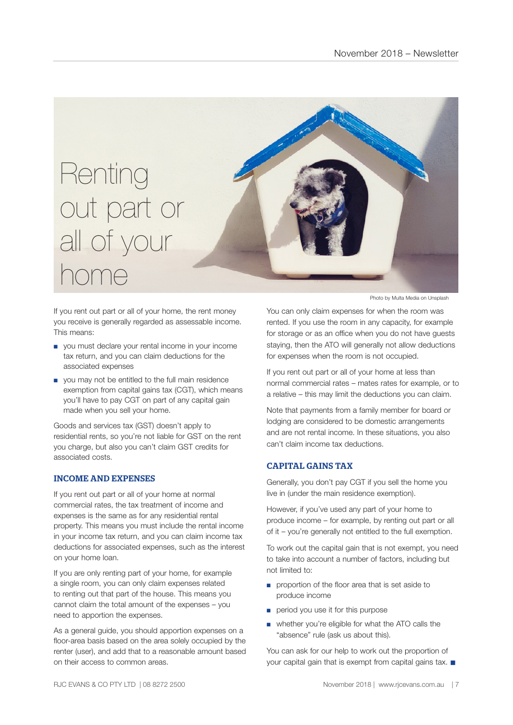

If you rent out part or all of your home, the rent money you receive is generally regarded as assessable income. This means:

- you must declare your rental income in your income tax return, and you can claim deductions for the associated expenses
- you may not be entitled to the full main residence exemption from capital gains tax (CGT), which means you'll have to pay CGT on part of any capital gain made when you sell your home.

Goods and services tax (GST) doesn't apply to residential rents, so you're not liable for GST on the rent you charge, but also you can't claim GST credits for associated costs.

#### INCOME AND EXPENSES

If you rent out part or all of your home at normal commercial rates, the tax treatment of income and expenses is the same as for any residential rental property. This means you must include the rental income in your income tax return, and you can claim income tax deductions for associated expenses, such as the interest on your home loan.

If you are only renting part of your home, for example a single room, you can only claim expenses related to renting out that part of the house. This means you cannot claim the total amount of the expenses – you need to apportion the expenses.

As a general guide, you should apportion expenses on a floor-area basis based on the area solely occupied by the renter (user), and add that to a reasonable amount based on their access to common areas.

Photo by Multa Media on Unsplash

You can only claim expenses for when the room was rented. If you use the room in any capacity, for example for storage or as an office when you do not have guests staying, then the ATO will generally not allow deductions for expenses when the room is not occupied.

If you rent out part or all of your home at less than normal commercial rates – mates rates for example, or to a relative – this may limit the deductions you can claim.

Note that payments from a family member for board or lodging are considered to be domestic arrangements and are not rental income. In these situations, you also can't claim income tax deductions.

### CAPITAL GAINS TAX

Generally, you don't pay CGT if you sell the home you live in (under the main residence exemption).

However, if you've used any part of your home to produce income – for example, by renting out part or all of it – you're generally not entitled to the full exemption.

To work out the capital gain that is not exempt, you need to take into account a number of factors, including but not limited to:

- proportion of the floor area that is set aside to produce income
- period you use it for this purpose
- whether you're eligible for what the ATO calls the "absence" rule (ask us about this).

You can ask for our help to work out the proportion of your capital gain that is exempt from capital gains tax.  $\blacksquare$